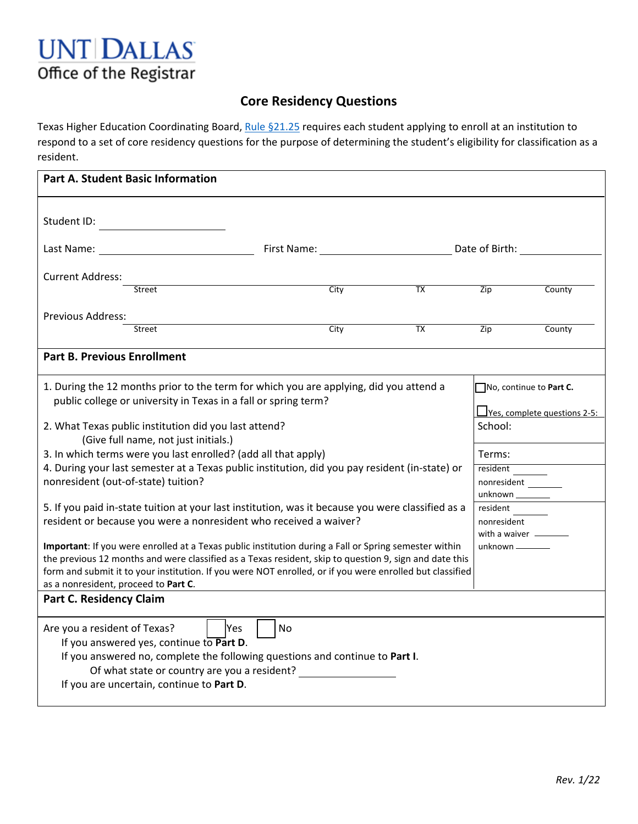

## **Core Residency Questions**

Texas Higher Education Coordinating Board, [Rule §21.25](http://www.collegeforalltexans.com/index.cfm?objectid=6D1466D9-AEA5-DE00-C12F3F75E7367718) requires each student applying to enroll at an institution to respond to a set of core residency questions for the purpose of determining the student's eligibility for classification as a resident.

| <b>Part A. Student Basic Information</b>                                                                                                                                                                                                                                                                                                                                                                                                                                                                                                                                                                                                                                                                                                                                                                                                                                                                                                                                                                               |      |                 |                                                                                                                                                                                                      |
|------------------------------------------------------------------------------------------------------------------------------------------------------------------------------------------------------------------------------------------------------------------------------------------------------------------------------------------------------------------------------------------------------------------------------------------------------------------------------------------------------------------------------------------------------------------------------------------------------------------------------------------------------------------------------------------------------------------------------------------------------------------------------------------------------------------------------------------------------------------------------------------------------------------------------------------------------------------------------------------------------------------------|------|-----------------|------------------------------------------------------------------------------------------------------------------------------------------------------------------------------------------------------|
| Student ID:                                                                                                                                                                                                                                                                                                                                                                                                                                                                                                                                                                                                                                                                                                                                                                                                                                                                                                                                                                                                            |      |                 |                                                                                                                                                                                                      |
|                                                                                                                                                                                                                                                                                                                                                                                                                                                                                                                                                                                                                                                                                                                                                                                                                                                                                                                                                                                                                        |      |                 |                                                                                                                                                                                                      |
| <b>Current Address:</b><br><b>Street</b>                                                                                                                                                                                                                                                                                                                                                                                                                                                                                                                                                                                                                                                                                                                                                                                                                                                                                                                                                                               | City | $\overline{TX}$ | Zip<br>County                                                                                                                                                                                        |
| Previous Address:<br>Street                                                                                                                                                                                                                                                                                                                                                                                                                                                                                                                                                                                                                                                                                                                                                                                                                                                                                                                                                                                            | City | TX              | Zip<br>County                                                                                                                                                                                        |
|                                                                                                                                                                                                                                                                                                                                                                                                                                                                                                                                                                                                                                                                                                                                                                                                                                                                                                                                                                                                                        |      |                 |                                                                                                                                                                                                      |
| <b>Part B. Previous Enrollment</b>                                                                                                                                                                                                                                                                                                                                                                                                                                                                                                                                                                                                                                                                                                                                                                                                                                                                                                                                                                                     |      |                 |                                                                                                                                                                                                      |
| 1. During the 12 months prior to the term for which you are applying, did you attend a<br>public college or university in Texas in a fall or spring term?<br>2. What Texas public institution did you last attend?<br>(Give full name, not just initials.)<br>3. In which terms were you last enrolled? (add all that apply)<br>4. During your last semester at a Texas public institution, did you pay resident (in-state) or<br>nonresident (out-of-state) tuition?<br>5. If you paid in-state tuition at your last institution, was it because you were classified as a<br>resident or because you were a nonresident who received a waiver?<br>Important: If you were enrolled at a Texas public institution during a Fall or Spring semester within<br>the previous 12 months and were classified as a Texas resident, skip to question 9, sign and date this<br>form and submit it to your institution. If you were NOT enrolled, or if you were enrolled but classified<br>as a nonresident, proceed to Part C. |      |                 | No, continue to Part C.<br><u>LVes, complete questions 2-5:</u><br>School:<br>Terms:<br>resident<br>nonresident<br>unknown ____<br>resident<br>nonresident<br>with a waiver _____<br>unknown _______ |
| <b>Part C. Residency Claim</b><br>Are you a resident of Texas?<br><b>Yes</b><br>If you answered yes, continue to Part D.<br>If you answered no, complete the following questions and continue to Part I.<br>Of what state or country are you a resident?<br>If you are uncertain, continue to Part D.                                                                                                                                                                                                                                                                                                                                                                                                                                                                                                                                                                                                                                                                                                                  | No   |                 |                                                                                                                                                                                                      |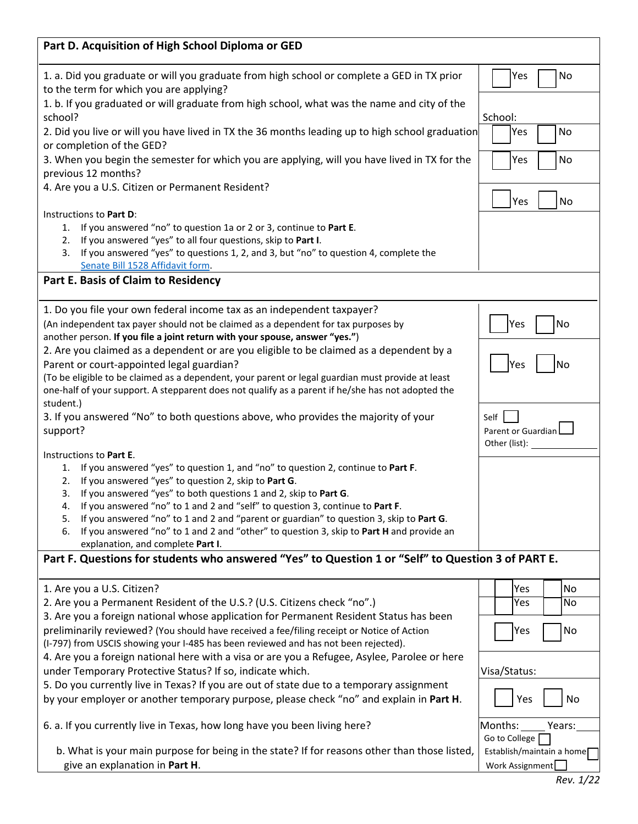| Part D. Acquisition of High School Diploma or GED                                                                                                                                                      |                                              |  |  |
|--------------------------------------------------------------------------------------------------------------------------------------------------------------------------------------------------------|----------------------------------------------|--|--|
| 1. a. Did you graduate or will you graduate from high school or complete a GED in TX prior<br>to the term for which you are applying?                                                                  | No<br>Yes                                    |  |  |
| 1. b. If you graduated or will graduate from high school, what was the name and city of the<br>school?                                                                                                 | School:                                      |  |  |
| 2. Did you live or will you have lived in TX the 36 months leading up to high school graduation                                                                                                        | Yes<br>No                                    |  |  |
| or completion of the GED?                                                                                                                                                                              |                                              |  |  |
| 3. When you begin the semester for which you are applying, will you have lived in TX for the                                                                                                           | No<br>Yes                                    |  |  |
| previous 12 months?                                                                                                                                                                                    |                                              |  |  |
| 4. Are you a U.S. Citizen or Permanent Resident?                                                                                                                                                       |                                              |  |  |
| Instructions to Part D:                                                                                                                                                                                | Yes<br>No                                    |  |  |
| 1. If you answered "no" to question 1a or 2 or 3, continue to Part E.                                                                                                                                  |                                              |  |  |
| If you answered "yes" to all four questions, skip to Part I.<br>2.                                                                                                                                     |                                              |  |  |
| If you answered "yes" to questions 1, 2, and 3, but "no" to question 4, complete the<br>3.                                                                                                             |                                              |  |  |
| Senate Bill 1528 Affidavit form.                                                                                                                                                                       |                                              |  |  |
| Part E. Basis of Claim to Residency                                                                                                                                                                    |                                              |  |  |
| 1. Do you file your own federal income tax as an independent taxpayer?                                                                                                                                 |                                              |  |  |
| (An independent tax payer should not be claimed as a dependent for tax purposes by                                                                                                                     | Yes<br>No                                    |  |  |
| another person. If you file a joint return with your spouse, answer "yes.")                                                                                                                            |                                              |  |  |
| 2. Are you claimed as a dependent or are you eligible to be claimed as a dependent by a                                                                                                                |                                              |  |  |
| Parent or court-appointed legal guardian?                                                                                                                                                              | Yes<br>No                                    |  |  |
| (To be eligible to be claimed as a dependent, your parent or legal guardian must provide at least<br>one-half of your support. A stepparent does not qualify as a parent if he/she has not adopted the |                                              |  |  |
| student.)                                                                                                                                                                                              |                                              |  |  |
| 3. If you answered "No" to both questions above, who provides the majority of your                                                                                                                     | Self                                         |  |  |
| support?                                                                                                                                                                                               | Parent or Guardian                           |  |  |
|                                                                                                                                                                                                        | Other (list):                                |  |  |
| Instructions to Part E.<br>If you answered "yes" to question 1, and "no" to question 2, continue to Part F.<br>1.                                                                                      |                                              |  |  |
| If you answered "yes" to question 2, skip to Part G.<br>2.                                                                                                                                             |                                              |  |  |
| If you answered "yes" to both questions 1 and 2, skip to Part G.<br>3.                                                                                                                                 |                                              |  |  |
| If you answered "no" to 1 and 2 and "self" to question 3, continue to Part F.<br>4.                                                                                                                    |                                              |  |  |
| If you answered "no" to 1 and 2 and "parent or guardian" to question 3, skip to Part G.<br>5.                                                                                                          |                                              |  |  |
| If you answered "no" to 1 and 2 and "other" to question 3, skip to Part H and provide an<br>6.<br>explanation, and complete Part I.                                                                    |                                              |  |  |
| Part F. Questions for students who answered "Yes" to Question 1 or "Self" to Question 3 of PART E.                                                                                                     |                                              |  |  |
|                                                                                                                                                                                                        |                                              |  |  |
| 1. Are you a U.S. Citizen?                                                                                                                                                                             | Yes<br><b>No</b>                             |  |  |
| 2. Are you a Permanent Resident of the U.S.? (U.S. Citizens check "no".)                                                                                                                               | No<br>Yes                                    |  |  |
| 3. Are you a foreign national whose application for Permanent Resident Status has been                                                                                                                 |                                              |  |  |
| preliminarily reviewed? (You should have received a fee/filing receipt or Notice of Action<br>(I-797) from USCIS showing your I-485 has been reviewed and has not been rejected).                      | No<br>Yes                                    |  |  |
| 4. Are you a foreign national here with a visa or are you a Refugee, Asylee, Parolee or here                                                                                                           |                                              |  |  |
| under Temporary Protective Status? If so, indicate which.                                                                                                                                              | Visa/Status:                                 |  |  |
| 5. Do you currently live in Texas? If you are out of state due to a temporary assignment                                                                                                               |                                              |  |  |
| by your employer or another temporary purpose, please check "no" and explain in Part H.                                                                                                                | Yes<br>No                                    |  |  |
| 6. a. If you currently live in Texas, how long have you been living here?                                                                                                                              | Months:<br>Years:                            |  |  |
|                                                                                                                                                                                                        | Go to College                                |  |  |
| b. What is your main purpose for being in the state? If for reasons other than those listed,<br>give an explanation in Part H.                                                                         | Establish/maintain a home<br>Work Assignment |  |  |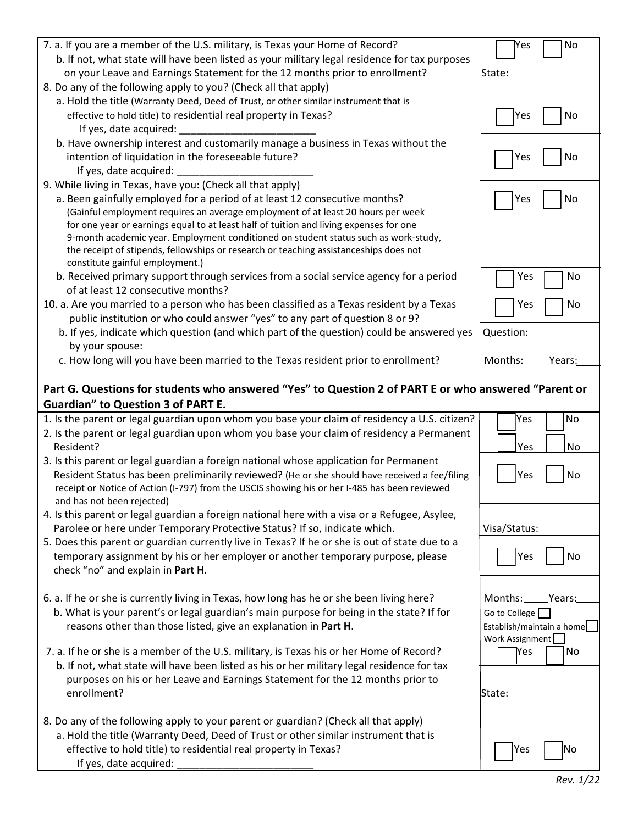| 7. a. If you are a member of the U.S. military, is Texas your Home of Record?                                               | No<br>Yes                 |
|-----------------------------------------------------------------------------------------------------------------------------|---------------------------|
| b. If not, what state will have been listed as your military legal residence for tax purposes                               |                           |
| on your Leave and Earnings Statement for the 12 months prior to enrollment?                                                 | State:                    |
| 8. Do any of the following apply to you? (Check all that apply)                                                             |                           |
| a. Hold the title (Warranty Deed, Deed of Trust, or other similar instrument that is                                        |                           |
| effective to hold title) to residential real property in Texas?                                                             | No<br>Yes                 |
| If yes, date acquired:                                                                                                      |                           |
| b. Have ownership interest and customarily manage a business in Texas without the                                           |                           |
| intention of liquidation in the foreseeable future?                                                                         | No<br>Yes                 |
| If yes, date acquired:                                                                                                      |                           |
| 9. While living in Texas, have you: (Check all that apply)                                                                  |                           |
| a. Been gainfully employed for a period of at least 12 consecutive months?                                                  | Yes<br>No                 |
| (Gainful employment requires an average employment of at least 20 hours per week                                            |                           |
| for one year or earnings equal to at least half of tuition and living expenses for one                                      |                           |
| 9-month academic year. Employment conditioned on student status such as work-study,                                         |                           |
| the receipt of stipends, fellowships or research or teaching assistanceships does not                                       |                           |
| constitute gainful employment.)<br>b. Received primary support through services from a social service agency for a period   | No<br>Yes                 |
| of at least 12 consecutive months?                                                                                          |                           |
| 10. a. Are you married to a person who has been classified as a Texas resident by a Texas                                   | No<br>Yes                 |
| public institution or who could answer "yes" to any part of question 8 or 9?                                                |                           |
| b. If yes, indicate which question (and which part of the question) could be answered yes                                   | Question:                 |
| by your spouse:                                                                                                             |                           |
| c. How long will you have been married to the Texas resident prior to enrollment?                                           | Months:<br>Years:         |
|                                                                                                                             |                           |
| Part G. Questions for students who answered "Yes" to Question 2 of PART E or who answered "Parent or                        |                           |
|                                                                                                                             |                           |
|                                                                                                                             |                           |
| <b>Guardian" to Question 3 of PART E.</b>                                                                                   |                           |
| 1. Is the parent or legal guardian upon whom you base your claim of residency a U.S. citizen?                               | No<br>Yes                 |
| 2. Is the parent or legal guardian upon whom you base your claim of residency a Permanent                                   |                           |
| Resident?                                                                                                                   | No<br>Yes                 |
| 3. Is this parent or legal guardian a foreign national whose application for Permanent                                      |                           |
| Resident Status has been preliminarily reviewed? (He or she should have received a fee/filing                               | Yes<br>No                 |
| receipt or Notice of Action (I-797) from the USCIS showing his or her I-485 has been reviewed                               |                           |
| and has not been rejected)<br>4. Is this parent or legal guardian a foreign national here with a visa or a Refugee, Asylee, |                           |
| Parolee or here under Temporary Protective Status? If so, indicate which.                                                   | Visa/Status:              |
| 5. Does this parent or guardian currently live in Texas? If he or she is out of state due to a                              |                           |
| temporary assignment by his or her employer or another temporary purpose, please                                            | Yes<br>No                 |
| check "no" and explain in Part H.                                                                                           |                           |
|                                                                                                                             |                           |
| 6. a. If he or she is currently living in Texas, how long has he or she been living here?                                   | Months:<br>Years:         |
| b. What is your parent's or legal guardian's main purpose for being in the state? If for                                    | Go to College             |
| reasons other than those listed, give an explanation in Part H.                                                             | Establish/maintain a home |
|                                                                                                                             | Work Assignment           |
| 7. a. If he or she is a member of the U.S. military, is Texas his or her Home of Record?                                    | No<br>Yes                 |
| b. If not, what state will have been listed as his or her military legal residence for tax                                  |                           |
| purposes on his or her Leave and Earnings Statement for the 12 months prior to                                              |                           |
| enrollment?                                                                                                                 | State:                    |
|                                                                                                                             |                           |
| 8. Do any of the following apply to your parent or guardian? (Check all that apply)                                         |                           |
| a. Hold the title (Warranty Deed, Deed of Trust or other similar instrument that is                                         |                           |
| effective to hold title) to residential real property in Texas?<br>If yes, date acquired:                                   | No<br>Yes                 |